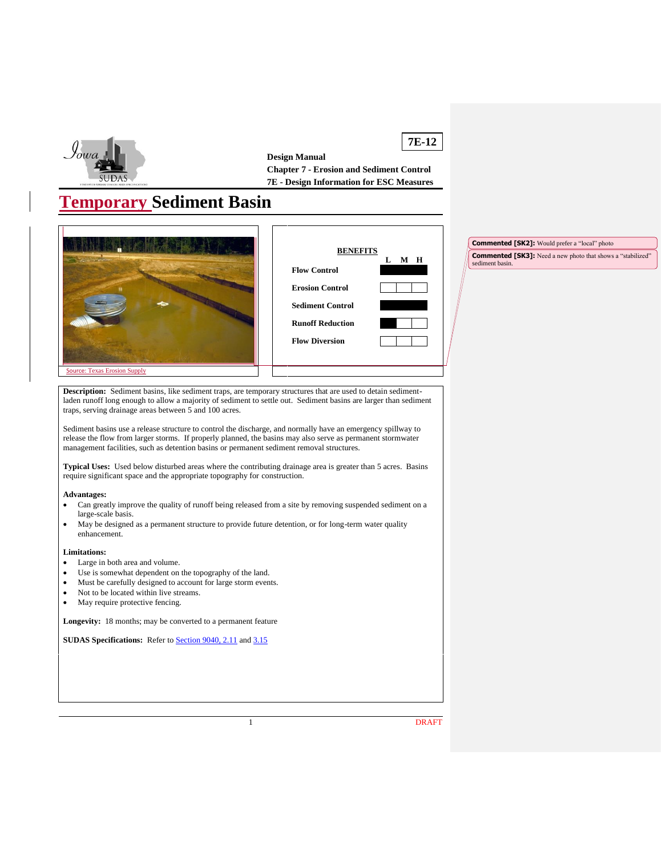

**7E-12 Design Manual Chapter 7 - Erosion and Sediment Control 7E - Design Information for ESC Measures**

# **Temporary Sediment Basin**





**Commented [SK2]:** Would prefer a "local" photo **Commented [SK3]:** Need a new photo that shows a "stabilized" sediment basin.

Source: Texas Erosion Supply

**Description:** Sediment basins, like sediment traps, are temporary structures that are used to detain sedimentladen runoff long enough to allow a majority of sediment to settle out. Sediment basins are larger than sediment traps, serving drainage areas between 5 and 100 acres.

Sediment basins use a release structure to control the discharge, and normally have an emergency spillway to release the flow from larger storms. If properly planned, the basins may also serve as permanent stormwater management facilities, such as detention basins or permanent sediment removal structures.

**Typical Uses:** Used below disturbed areas where the contributing drainage area is greater than 5 acres. Basins require significant space and the appropriate topography for construction.

### **Advantages:**

- Can greatly improve the quality of runoff being released from a site by removing suspended sediment on a large-scale basis.
- May be designed as a permanent structure to provide future detention, or for long-term water quality enhancement.

### **Limitations:**

- Large in both area and volume.
- Use is somewhat dependent on the topography of the land.
- Must be carefully designed to account for large storm events.
- Not to be located within live streams.
- May require protective fencing.

**Longevity:** 18 months; may be converted to a permanent feature

**SUDAS Specifications:** Refer to **Section 9040, 2.11** and [3.15](https://intrans.iastate.edu/app/uploads/sites/15/2020/02/9040.pdf#page=20)

1 DRAFT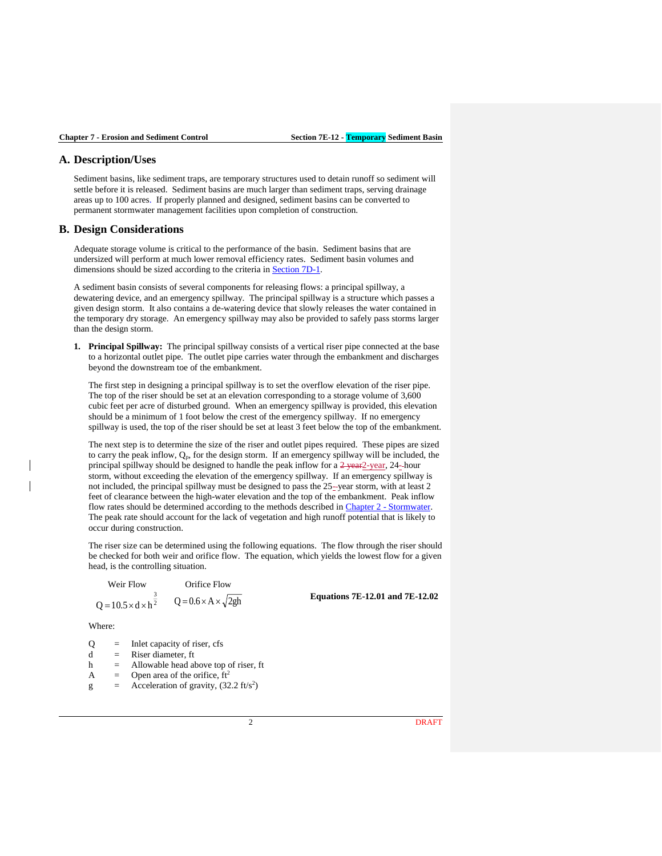## **A. Description/Uses**

Sediment basins, like sediment traps, are temporary structures used to detain runoff so sediment will settle before it is released. Sediment basins are much larger than sediment traps, serving drainage areas up to 100 acres. If properly planned and designed, sediment basins can be converted to permanent stormwater management facilities upon completion of construction.

## **B. Design Considerations**

Adequate storage volume is critical to the performance of the basin. Sediment basins that are undersized will perform at much lower removal efficiency rates. Sediment basin volumes and dimensions should be sized according to the criteria in **Section 7D-1**.

A sediment basin consists of several components for releasing flows: a principal spillway, a dewatering device, and an emergency spillway. The principal spillway is a structure which passes a given design storm. It also contains a de-watering device that slowly releases the water contained in the temporary dry storage. An emergency spillway may also be provided to safely pass storms larger than the design storm.

**1. Principal Spillway:** The principal spillway consists of a vertical riser pipe connected at the base to a horizontal outlet pipe. The outlet pipe carries water through the embankment and discharges beyond the downstream toe of the embankment.

The first step in designing a principal spillway is to set the overflow elevation of the riser pipe. The top of the riser should be set at an elevation corresponding to a storage volume of 3,600 cubic feet per acre of disturbed ground. When an emergency spillway is provided, this elevation should be a minimum of 1 foot below the crest of the emergency spillway. If no emergency spillway is used, the top of the riser should be set at least 3 feet below the top of the embankment.

The next step is to determine the size of the riser and outlet pipes required. These pipes are sized to carry the peak inflow,  $Q_p$ , for the design storm. If an emergency spillway will be included, the principal spillway should be designed to handle the peak inflow for a  $2$ -year,  $24$ -hour storm, without exceeding the elevation of the emergency spillway. If an emergency spillway is not included, the principal spillway must be designed to pass the 25- year storm, with at least 2 feet of clearance between the high-water elevation and the top of the embankment. Peak inflow flow rates should be determined according to the methods described in Chapter 2 - [Stormwater.](https://intrans.iastate.edu/app/uploads/sites/15/2020/03/Chapter_02.pdf) The peak rate should account for the lack of vegetation and high runoff potential that is likely to occur during construction.

The riser size can be determined using the following equations. The flow through the riser should be checked for both weir and orifice flow. The equation, which yields the lowest flow for a given head, is the controlling situation.

Weir Flow Orifice Flow 2  $Q = 10.5 \times d \times h^{\frac{3}{2}}$   $Q = 0.6 \times A \times \sqrt{2gh}$ 

**Equations 7E-12.01 and 7E-12.02**

Where:

- $Q =$  Inlet capacity of riser, cfs
- $d =$  Riser diameter, ft
- h = Allowable head above top of riser, ft
- A  $=$  Open area of the orifice,  $ft<sup>2</sup>$
- $g =$  Acceleration of gravity, (32.2 ft/s<sup>2</sup>)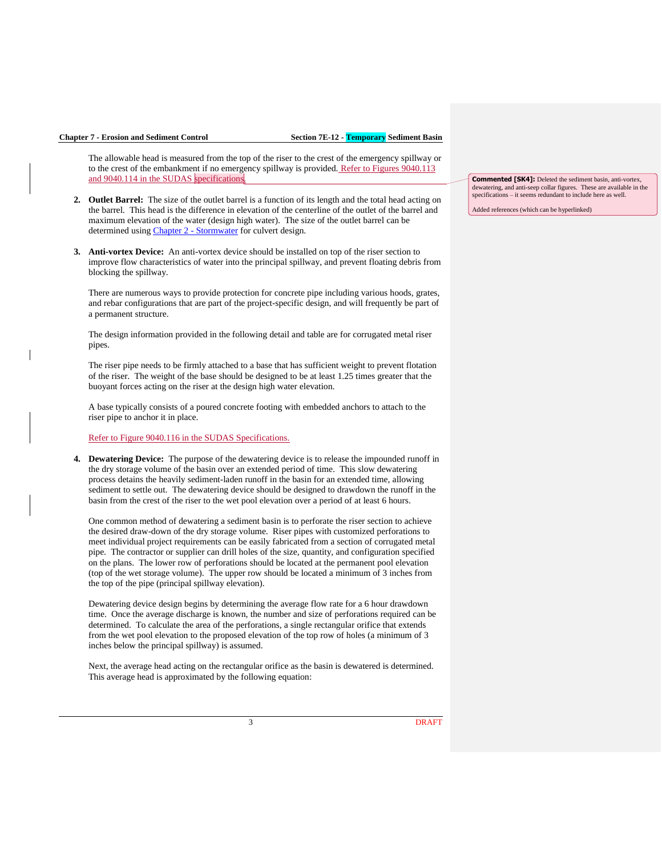The allowable head is measured from the top of the riser to the crest of the emergency spillway or to the crest of the embankment if no emergency spillway is provided. Refer to Figures 9040.113 and 9040.114 in the SUDAS specifications.

- **2. Outlet Barrel:** The size of the outlet barrel is a function of its length and the total head acting on the barrel. This head is the difference in elevation of the centerline of the outlet of the barrel and maximum elevation of the water (design high water). The size of the outlet barrel can be determined using Chapter 2 - [Stormwater](https://intrans.iastate.edu/app/uploads/sites/15/2020/03/Chapter_02.pdf) for culvert design.
- **3. Anti-vortex Device:** An anti-vortex device should be installed on top of the riser section to improve flow characteristics of water into the principal spillway, and prevent floating debris from blocking the spillway.

There are numerous ways to provide protection for concrete pipe including various hoods, grates, and rebar configurations that are part of the project-specific design, and will frequently be part of a permanent structure.

The design information provided in the following detail and table are for corrugated metal riser pipes.

The riser pipe needs to be firmly attached to a base that has sufficient weight to prevent flotation of the riser. The weight of the base should be designed to be at least 1.25 times greater that the buoyant forces acting on the riser at the design high water elevation.

A base typically consists of a poured concrete footing with embedded anchors to attach to the riser pipe to anchor it in place.

## Refer to Figure 9040.116 in the SUDAS Specifications.

**4. Dewatering Device:** The purpose of the dewatering device is to release the impounded runoff in the dry storage volume of the basin over an extended period of time. This slow dewatering process detains the heavily sediment-laden runoff in the basin for an extended time, allowing sediment to settle out. The dewatering device should be designed to drawdown the runoff in the basin from the crest of the riser to the wet pool elevation over a period of at least 6 hours.

One common method of dewatering a sediment basin is to perforate the riser section to achieve the desired draw-down of the dry storage volume. Riser pipes with customized perforations to meet individual project requirements can be easily fabricated from a section of corrugated metal pipe. The contractor or supplier can drill holes of the size, quantity, and configuration specified on the plans. The lower row of perforations should be located at the permanent pool elevation (top of the wet storage volume). The upper row should be located a minimum of 3 inches from the top of the pipe (principal spillway elevation).

Dewatering device design begins by determining the average flow rate for a 6 hour drawdown time. Once the average discharge is known, the number and size of perforations required can be determined. To calculate the area of the perforations, a single rectangular orifice that extends from the wet pool elevation to the proposed elevation of the top row of holes (a minimum of 3 inches below the principal spillway) is assumed.

Next, the average head acting on the rectangular orifice as the basin is dewatered is determined. This average head is approximated by the following equation:

**Commented [SK4]:** Deleted the sediment basin, anti-vortex, dewatering, and anti-seep collar figures. These are available in the specifications – it seems redundant to include here as well.

Added references (which can be hyperlinked)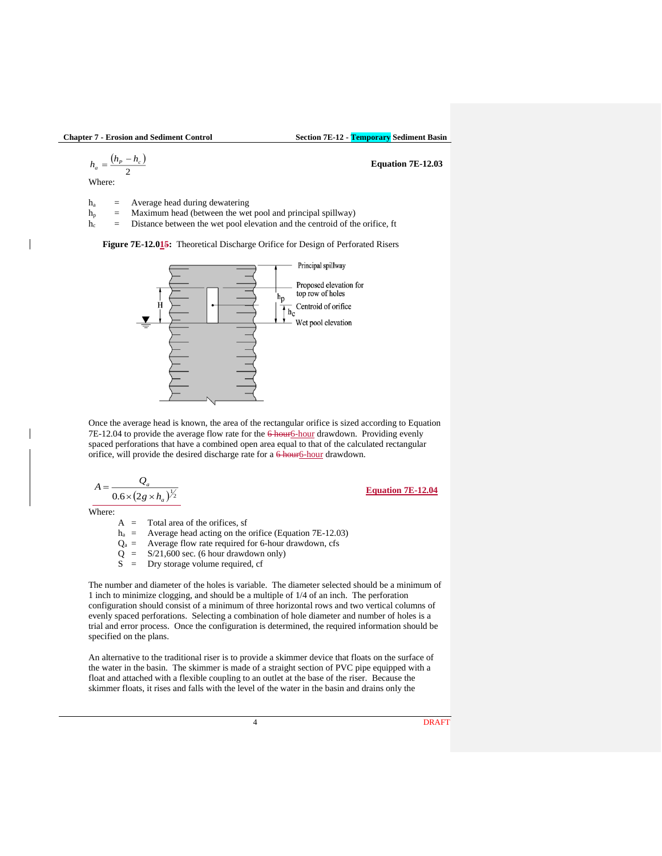<sup>=</sup> **Equation 7E-12.03**

$$
h_a=\frac{\left(h_{P}-h_{c}\right)}{2}
$$

Where:

h<sup>a</sup> = Average head during dewatering

 $h_p$  = Maximum head (between the wet pool and principal spillway)

 $h_c$  = Distance between the wet pool elevation and the centroid of the orifice, ft

**Figure 7E-12.015:** Theoretical Discharge Orifice for Design of Perforated Risers



Once the average head is known, the area of the rectangular orifice is sized according to Equation 7E-12.04 to provide the average flow rate for the 6 hour6-hour drawdown. Providing evenly spaced perforations that have a combined open area equal to that of the calculated rectangular orifice, will provide the desired discharge rate for a  $6$  hour $6$ -hour drawdown.

$$
A = \frac{Q_a}{0.6 \times (2g \times h_a)^{\frac{1}{2}}}
$$

**Equation 7E-12.04**

Where:

 $A =$  Total area of the orifices, sf

 $h_a$  = Average head acting on the orifice (Equation 7E-12.03)

- $Q_a$  = Average flow rate required for 6-hour drawdown, cfs
- $Q = S/21,600$  sec. (6 hour drawdown only)
- S = Dry storage volume required, cf

The number and diameter of the holes is variable. The diameter selected should be a minimum of 1 inch to minimize clogging, and should be a multiple of 1/4 of an inch. The perforation configuration should consist of a minimum of three horizontal rows and two vertical columns of evenly spaced perforations. Selecting a combination of hole diameter and number of holes is a trial and error process. Once the configuration is determined, the required information should be specified on the plans.

An alternative to the traditional riser is to provide a skimmer device that floats on the surface of the water in the basin. The skimmer is made of a straight section of PVC pipe equipped with a float and attached with a flexible coupling to an outlet at the base of the riser. Because the skimmer floats, it rises and falls with the level of the water in the basin and drains only the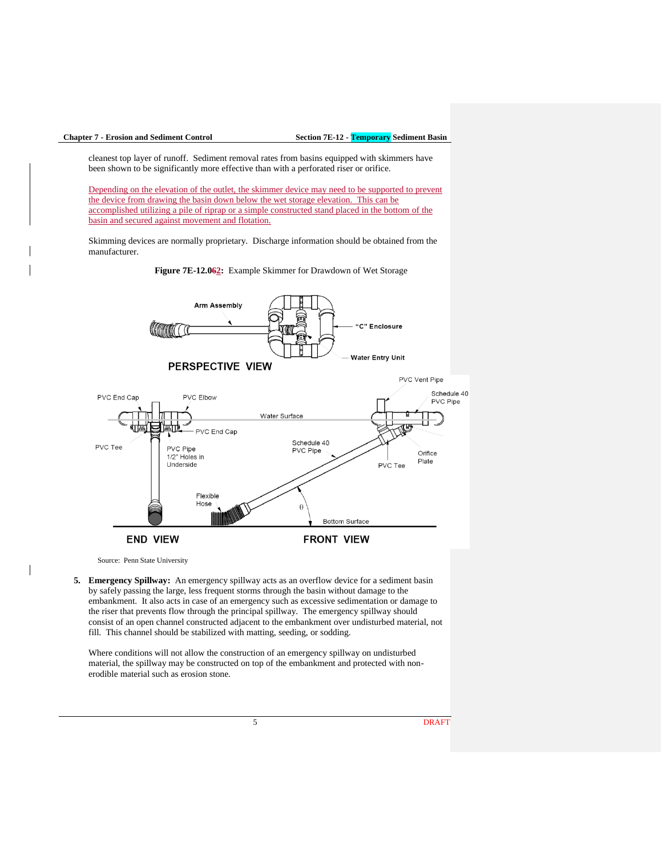cleanest top layer of runoff. Sediment removal rates from basins equipped with skimmers have been shown to be significantly more effective than with a perforated riser or orifice.

Depending on the elevation of the outlet, the skimmer device may need to be supported to prevent the device from drawing the basin down below the wet storage elevation. This can be accomplished utilizing a pile of riprap or a simple constructed stand placed in the bottom of the basin and secured against movement and flotation.

Skimming devices are normally proprietary. Discharge information should be obtained from the manufacturer.





Source: Penn State University

**5. Emergency Spillway:** An emergency spillway acts as an overflow device for a sediment basin by safely passing the large, less frequent storms through the basin without damage to the embankment. It also acts in case of an emergency such as excessive sedimentation or damage to the riser that prevents flow through the principal spillway. The emergency spillway should consist of an open channel constructed adjacent to the embankment over undisturbed material, not fill. This channel should be stabilized with matting, seeding, or sodding.

Where conditions will not allow the construction of an emergency spillway on undisturbed material, the spillway may be constructed on top of the embankment and protected with nonerodible material such as erosion stone.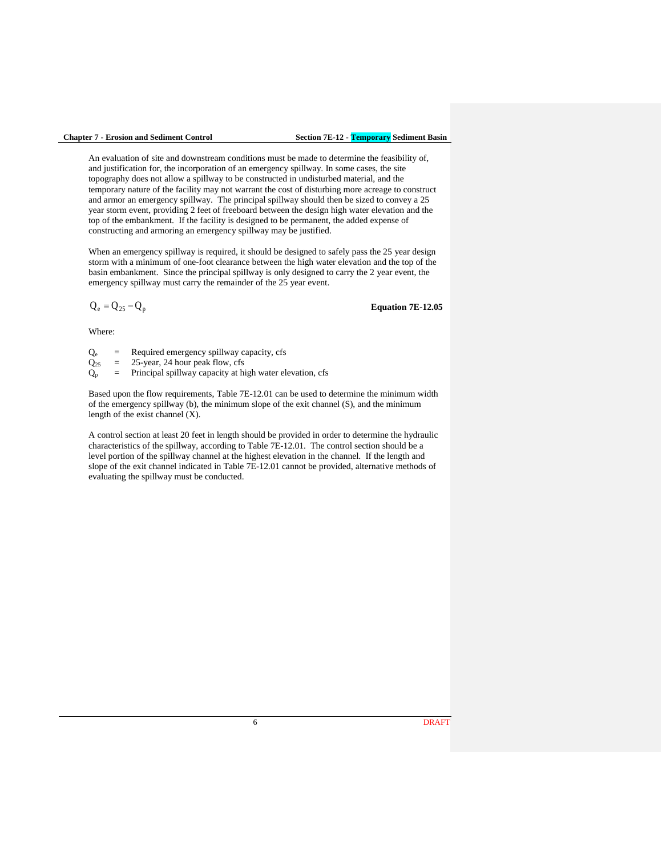An evaluation of site and downstream conditions must be made to determine the feasibility of, and justification for, the incorporation of an emergency spillway. In some cases, the site topography does not allow a spillway to be constructed in undisturbed material, and the temporary nature of the facility may not warrant the cost of disturbing more acreage to construct and armor an emergency spillway. The principal spillway should then be sized to convey a 25 year storm event, providing 2 feet of freeboard between the design high water elevation and the top of the embankment. If the facility is designed to be permanent, the added expense of constructing and armoring an emergency spillway may be justified.

When an emergency spillway is required, it should be designed to safely pass the 25 year design storm with a minimum of one-foot clearance between the high water elevation and the top of the basin embankment. Since the principal spillway is only designed to carry the 2 year event, the emergency spillway must carry the remainder of the 25 year event.

$$
Q_e = Q_{25} - Q_p
$$

**Equation 7E-12.05**

Where:

 $Q_e$  = Required emergency spillway capacity, cfs

 $Q_{25}$  = 25-year, 24 hour peak flow, cfs

 $Q_p$  = Principal spillway capacity at high water elevation, cfs

Based upon the flow requirements, Table 7E-12.01 can be used to determine the minimum width of the emergency spillway (b), the minimum slope of the exit channel (S), and the minimum length of the exist channel (X).

A control section at least 20 feet in length should be provided in order to determine the hydraulic characteristics of the spillway, according to Table 7E-12.01. The control section should be a level portion of the spillway channel at the highest elevation in the channel. If the length and slope of the exit channel indicated in Table 7E-12.01 cannot be provided, alternative methods of evaluating the spillway must be conducted.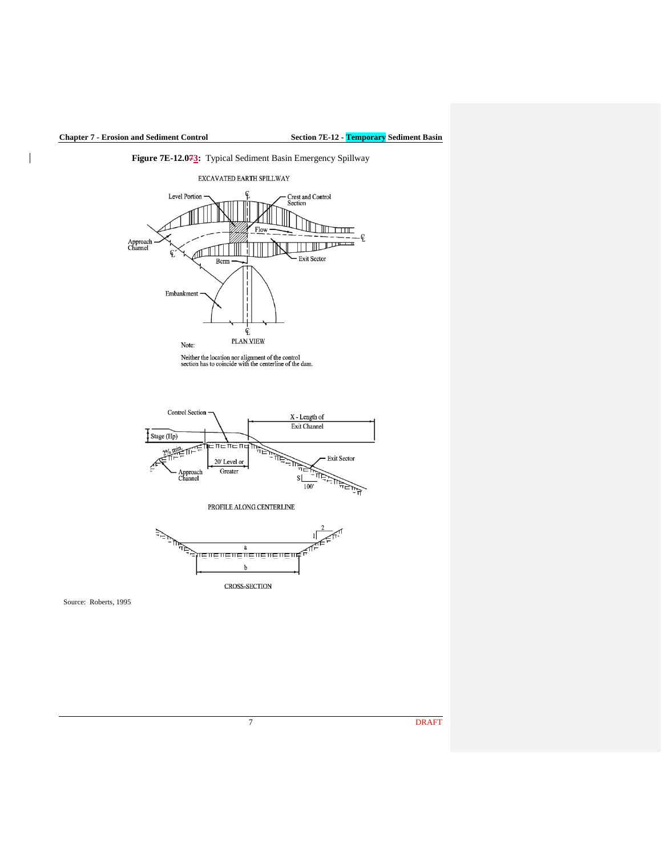

Source: Roberts, 1995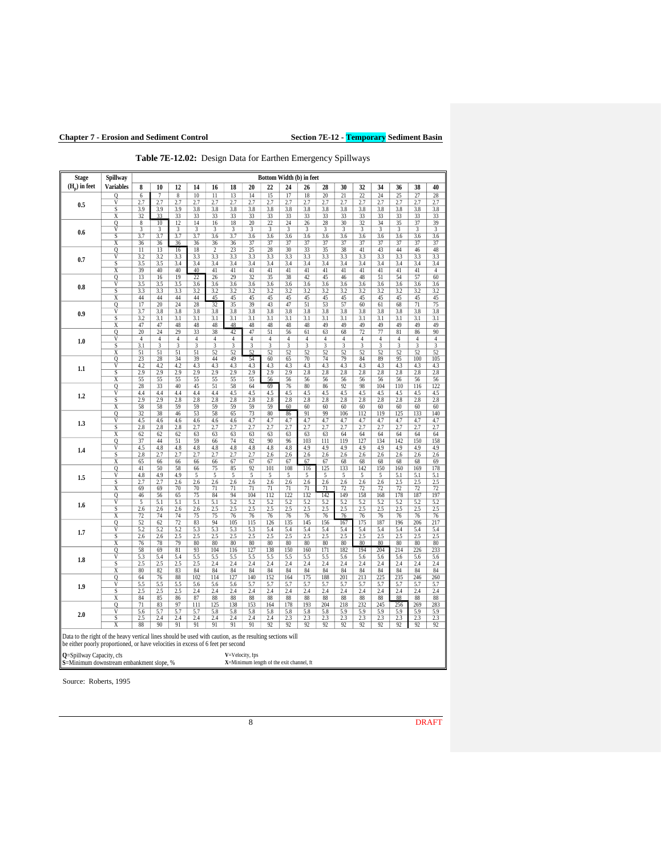|                                                                                                                                                                                                                                                                                                                                                  | Spillway                                  |                      |                      |                |                      |                       |                      |                       | Bottom Width (b) in feet |                      |                  |                      |                      |                      |                      |                      |            |                  |
|--------------------------------------------------------------------------------------------------------------------------------------------------------------------------------------------------------------------------------------------------------------------------------------------------------------------------------------------------|-------------------------------------------|----------------------|----------------------|----------------|----------------------|-----------------------|----------------------|-----------------------|--------------------------|----------------------|------------------|----------------------|----------------------|----------------------|----------------------|----------------------|------------|------------------|
| $(H_n)$ in feet                                                                                                                                                                                                                                                                                                                                  | <b>Variables</b>                          | 8                    | 10                   | 12             | 14                   | 16                    | 18                   | 20                    | 22                       | 24                   | 26               | 28                   | 30                   | 32                   | 34                   | 36                   | 38         | 40               |
|                                                                                                                                                                                                                                                                                                                                                  | 0                                         | 6                    | $\overline{7}$       | 8              | 10                   | 11                    | 13                   | 14                    | 15                       | 17                   | 18               | 20                   | 21                   | 22                   | 24                   | 25                   | 27         | $\frac{28}{2.7}$ |
| 0.5                                                                                                                                                                                                                                                                                                                                              | $\overline{\mathsf{v}}$                   | 2.7                  | 2.7                  | 2.7            | 2.7                  | 2.7                   | 2.7                  | 2.7                   | 2.7                      | 2.7                  | 2.7              | 2.7                  | 2.7                  | 2.7                  | 2.7                  | 2.7                  | 2.7        |                  |
|                                                                                                                                                                                                                                                                                                                                                  | S                                         | 3.9                  | 3.9                  | 3.9            | 3.8                  | 3.8                   | 3.8                  | 3.8                   | 3.8                      | 3.8                  | 3.8              | 3.8                  | $\overline{3.8}$     | 3.8                  | 3.8                  | 3.8                  | 3.8        | 3.8              |
| 0.6                                                                                                                                                                                                                                                                                                                                              | X<br>$\overline{Q}$                       | 32<br>$\sqrt{8}$     | 33<br>10             | 33<br>12       | 33<br>14             | 33<br>$\overline{16}$ | 33<br>18             | 33<br>$\overline{20}$ | 33<br>22                 | 33<br>24             | 33<br>26         | 33<br>28             | 33<br>30             | 33<br>32             | 33<br>34             | 33<br>35             | 33<br>37   | 33<br>39         |
|                                                                                                                                                                                                                                                                                                                                                  | V                                         | 3                    | 3                    | 3              | 3                    | 3                     | 3                    | 3                     | 3                        | 3                    | 3                | 3                    | 3                    | 3                    | 3                    | 3                    | 3          | 3                |
|                                                                                                                                                                                                                                                                                                                                                  | S                                         | 3.7                  | 3.7                  | 3.7            | 3.7                  | 3.6                   | 3.7                  | 3.6                   | 3.6                      | 3.6                  | 3.6              | 3.6                  | 3.6                  | 3.6                  | 3.6                  | 3.6                  | 3.6        | 3.6              |
|                                                                                                                                                                                                                                                                                                                                                  | X                                         | $\overline{36}$      | 36                   | 36             | 36                   | $\overline{36}$       | 36                   | 37                    | 37                       | 37                   | 37               | 37                   | 37                   | 37                   | 37                   | 37                   | 37         | 37               |
| 0.7                                                                                                                                                                                                                                                                                                                                              | Q<br>$\overline{\rm v}$                   | 11<br>3.2            | 13<br>3.2            | 16<br>3.3      | 18<br>3.3            | 2<br>3.3              | 23<br>3.3            | 25<br>3.3             | 28<br>3.3                | 30<br>3.3            | 33<br>3.3        | 35<br>3.3            | 38<br>3.3            | 41<br>3.3            | 43<br>3.3            | 44<br>3.3            | 46<br>3.3  | 48<br>3.3        |
|                                                                                                                                                                                                                                                                                                                                                  | S                                         | 3.5                  | 3.5                  | 3.4            | 3.4                  | 3.4                   | 3.4                  | 3.4                   | 3.4                      | 3.4                  | 3.4              | 3.4                  | 3.4                  | 3.4                  | 3.4                  | 3.4                  | 3.4        | 3.4              |
|                                                                                                                                                                                                                                                                                                                                                  | Χ                                         | 39                   | 40                   | 40             | 40                   | 41                    | 41                   | 41                    | 41                       | 41                   | 41               | 41                   | 41                   | 41                   | 41                   | 41                   | 41         | $\overline{4}$   |
| 0.8<br>0.9                                                                                                                                                                                                                                                                                                                                       | Q                                         | 13                   | 16                   | 19             | 22                   | 26                    | 29                   | 32                    | 35                       | 38                   | 42               | 45                   | 46                   | 48                   | 51                   | 54                   | 57         | 60               |
|                                                                                                                                                                                                                                                                                                                                                  | $\overline{\mathsf{V}}$                   | 3.5                  | 3.5                  | 3.5            | 3.6                  | 3.6                   | 3.6                  | 3.6                   | $\overline{3.6}$         | 3.6                  | $\overline{3.6}$ | 3.6                  | $\overline{3.6}$     | 3.6                  | 3.6                  | 3.6                  | 3.6        | 3.6              |
|                                                                                                                                                                                                                                                                                                                                                  | S<br>X                                    | 3.3<br>44            | 3.3<br>44            | 3.3<br>44      | 3.2<br>44            | 3.2<br>45             | 3.2<br>45            | 3.2<br>45             | 3.2<br>45                | 3.2<br>45            | 3.2<br>45        | 3.2<br>45            | 3.2<br>45            | 3.2<br>45            | 3.2<br>45            | 3.2<br>45            | 3.2<br>45  | 3.2<br>45        |
|                                                                                                                                                                                                                                                                                                                                                  | $\overline{0}$                            | 17                   | 20                   | 24             | 28                   | 32                    | 35                   | 39                    | 43                       | 47                   | 51               | 53                   | 57                   | 60                   | 61                   | 68                   | 71         | 75               |
|                                                                                                                                                                                                                                                                                                                                                  | V                                         | 3.7                  | 3.8                  | 3.8            | 3.8                  | 3.8                   | 3.8                  | 3.8                   | 3.8                      | 3.8                  | $\overline{3.8}$ | 3.8                  | 3.8                  | 3.8                  | 3.8                  | 3.8                  | 3.8        | 3.8              |
|                                                                                                                                                                                                                                                                                                                                                  | S                                         | 3.2                  | 3.1                  | 3.1            | 3.1                  | 3.1                   | $\overline{3.1}$     | 3.1                   | $\overline{3.1}$         | 3.1                  | 3.1              | 3.1                  | 3.1                  | $\overline{3.1}$     | 3.1                  | $\overline{3.1}$     | 3.1        | 3.1              |
|                                                                                                                                                                                                                                                                                                                                                  | X                                         | 47                   | 47                   | 48<br>29       | 48                   | 48                    | 48                   | 48                    | 48                       | 48                   | 48               | 49                   | 49                   | 49                   | 49                   | 49                   | 49         | 49               |
| 1.0                                                                                                                                                                                                                                                                                                                                              | Q<br>V                                    | 20<br>$\overline{4}$ | 24<br>$\overline{4}$ | $\overline{4}$ | 33<br>$\overline{4}$ | 38<br>$\overline{4}$  | 42<br>$\overline{4}$ | 47<br>$\overline{4}$  | 51<br>4                  | 56<br>$\overline{4}$ | 61<br>4          | 63<br>$\overline{4}$ | 68<br>$\overline{4}$ | 72<br>$\overline{4}$ | 77<br>$\overline{4}$ | 81<br>$\overline{4}$ | 86<br>4    | 90<br>4          |
|                                                                                                                                                                                                                                                                                                                                                  | S                                         | 3.1                  | 3                    | 3              | 3                    | 3                     | 3                    | 3                     | 3                        | 3                    | 3                | 3                    | 3                    | 3                    | 3                    | 3                    | 3          | 3                |
|                                                                                                                                                                                                                                                                                                                                                  | X                                         | 51                   | 51                   | 51             | 51                   | 52                    | 52                   | 52                    | 52                       | 52                   | 52               | 52                   | 52                   | 52                   | 52                   | 52                   | 52         | 52               |
| 1.1                                                                                                                                                                                                                                                                                                                                              | $\overline{\mathbb{Q}}$                   | 23                   | 28                   | 34             | 39                   | 44                    | 49                   | 54                    | 60                       | 65                   | 70               | 74                   | 79                   | 84                   | 89                   | 95                   | 100        | 105              |
|                                                                                                                                                                                                                                                                                                                                                  | $\overline{\mathsf{V}}$<br>S              | 4.2<br>2.9           | 4.2                  | 4.2<br>2.9     | 4.3                  | 4.3                   | 4.3                  | 4.3                   | 4.3                      | 4.3                  | 4.3              | 4.3                  | 4.3                  | 4.3                  | 4.3                  | 4.3                  | 4.3        | 4.3              |
|                                                                                                                                                                                                                                                                                                                                                  | X                                         | 55                   | 2.9<br>55            | 55             | 2.9<br>55            | 2.9<br>55             | 2.9<br>55            | 2.9<br>55             | 2.9<br>56                | 2.9<br>56            | 2.8<br>56        | 2.8<br>56            | 2.8<br>56            | 2.8<br>56            | 2.8<br>56            | 2.8<br>56            | 2.8<br>56  | 2.8<br>56        |
| $1.2\,$                                                                                                                                                                                                                                                                                                                                          | Q                                         | 28                   | 33                   | 40             | 45                   | 51                    | 58                   | 64                    | 69                       | 76                   | 80               | 86                   | 92                   | 98                   | 104                  | 110                  | 116        | 122              |
|                                                                                                                                                                                                                                                                                                                                                  | $\overline{\mathsf{V}}$                   | 4.4                  | 4.4                  | 4.4            | 4.4                  | 4.4                   | 4.5                  | 4.5                   | 4.5                      | 4.5                  | 4.5              | 4.5                  | 4.5                  | 4.5                  | 4.5                  | 4.5                  | 4.5        | 4.5              |
|                                                                                                                                                                                                                                                                                                                                                  | S                                         | 2.9                  | 2.9                  | 2.8            | 2.8                  | 2.8                   | 2.8                  | 2.8                   | 2.8                      | 2.8                  | 2.8              | 2.8                  | $\overline{2.8}$     | 2.8                  | 2.8                  | 2.8                  | 2.8        | 2.8              |
|                                                                                                                                                                                                                                                                                                                                                  | $\overline{\mathbf{x}}$<br>$\overline{0}$ | 58<br>32             | 58<br>38             | 59<br>46       | 59<br>53             | 59<br>58              | 59<br>65             | 59<br>73              | 59<br>80                 | 60<br>86             | 60<br>91         | 60<br>99             | 60<br>106            | 60<br>112            | 60<br>119            | 60<br>125            | 60<br>133  | 60<br>140        |
|                                                                                                                                                                                                                                                                                                                                                  | V                                         | 4.5                  | 4.6                  | 4.6            | 4.6                  | 4.6                   | 4.6                  | 4.7                   | 4.7                      | 4.7                  | 4.7              | 4.7                  | 4.7                  | 4.7                  | 4.7                  | 4.7                  | 4.7        | 4.7              |
| 1.3                                                                                                                                                                                                                                                                                                                                              | S                                         | 2.8                  | 2.8                  | 2.8            | 2.7                  | 2.7                   | 2.7                  | 2.7                   | 2.7                      | 2.7                  | 2.7              | 2.7                  | 2.7                  | 2.7                  | 2.7                  | 2.7                  | 2.7        | 2.7              |
|                                                                                                                                                                                                                                                                                                                                                  | X                                         | 62                   | 62                   | 62             | 63                   | 63                    | 63                   | 63                    | 63                       | 63                   | 63               | 63                   | 64                   | 64                   | 64                   | 64                   | 64         | 64               |
|                                                                                                                                                                                                                                                                                                                                                  | Q                                         | 37                   | 44                   | 51             | 59                   | 66                    | 74                   | 82                    | 90                       | 96                   | 103              | 111                  | 119                  | 127                  | 134                  | 142                  | 150        | 158              |
| 1.4                                                                                                                                                                                                                                                                                                                                              | $\overline{V}$<br>S                       | 4.5<br>2.8           | 4.8<br>2.7           | 4.8<br>2.7     | 4.8<br>2.7           | 4.8<br>2.7            | 4.8<br>2.7           | 4.8<br>2.7            | 4.8<br>2.6               | 4.8<br>2.6           | 4.9<br>2.6       | 4.9<br>2.6           | 4.9<br>2.6           | 4.9<br>2.6           | 4.9<br>2.6           | 4.9<br>2.6           | 4.9<br>2.6 | 4.9<br>2.6       |
|                                                                                                                                                                                                                                                                                                                                                  | X                                         | 65                   | 66                   | 66             | 66                   | 66                    | 67                   | 67                    | 67                       | 67                   | 67               | 67                   | 68                   | 68                   | 68                   | 68                   | 68         | 69               |
| 1.5                                                                                                                                                                                                                                                                                                                                              | Q                                         | 41                   | 50                   | 58             | 66                   | 75                    | 85                   | 92                    | 101                      | 108                  | 116              | 125                  | 133                  | 142                  | 150                  | 160                  | 169        | 178              |
|                                                                                                                                                                                                                                                                                                                                                  | $\overline{\mathsf{v}}$                   | 4.8                  | 4.9                  | 4.9            | 5                    | 5                     | 5                    | 5                     | 5                        | 5                    | 5                | 5                    | 5                    | 5                    | 5                    | 5.1                  | 5.1        | 5.1              |
|                                                                                                                                                                                                                                                                                                                                                  | S                                         | 2.7                  | 2.7                  | 2.6            | 2.6                  | 2.6                   | 2.6                  | 2.6                   | 2.6                      | 2.6                  | 2.6              | 2.6                  | 2.6                  | 2.6                  | 2.6                  | 2.5                  | 2.5        | 2.5              |
|                                                                                                                                                                                                                                                                                                                                                  | X<br>$\overline{0}$                       | 69<br>46             | 69<br>56             | 70<br>65       | 70<br>75             | 71<br>84              | 71<br>94             | 71<br>104             | 71<br>112                | 71<br>122            | 71<br>132        | 71<br>142            | 72<br>149            | 72<br>158            | 72<br>168            | 72<br>178            | 72<br>187  | 72<br>197        |
| 1.6                                                                                                                                                                                                                                                                                                                                              | V                                         | 5                    | 5.1                  | 5.1            | 5.1                  | 5.1                   | 5.2                  | 5.2                   | 5.2                      | 5.2                  | 5.2              | 5.2                  | 5.2                  | 5.2                  | 5.2                  | 5.2                  | 5.2        | 5.2              |
|                                                                                                                                                                                                                                                                                                                                                  | S                                         | 2.6                  | 2.6                  | 2.6            | 2.6                  | 2.5                   | 2.5                  | 2.5                   | 2.5                      | 2.5                  | 2.5              | 2.5                  | 2.5                  | 2.5                  | 2.5                  | 2.5                  | 2.5        | 2.5              |
|                                                                                                                                                                                                                                                                                                                                                  | $\overline{\text{X}}$                     | 72                   | 74                   | 74             | 75                   | 75                    | 76                   | 76                    | 76                       | 76                   | 76               | 76                   | 76                   | 76                   | 76                   | 76                   | 76         | 76               |
| 1.7                                                                                                                                                                                                                                                                                                                                              | $\overline{Q}$<br>V                       | 52<br>5.2            | 62<br>5.2            | 72<br>5.2      | 83<br>5.3            | 94<br>5.3             | 105<br>5.3           | 115<br>5.3            | 126<br>5.4               | 135<br>5.4           | 145<br>5.4       | 156<br>5.4           | 167<br>5.4           | 175<br>5.4           | 187<br>5.4           | 196<br>5.4           | 206<br>5.4 | 217<br>5.4       |
|                                                                                                                                                                                                                                                                                                                                                  | S                                         | 2.6                  | 2.6                  | 2.5            | 2.5                  | 2.5                   | 2.5                  | 2.5                   | 2.5                      | 2.5                  | 2.5              | 2.5                  | 2.5                  | 2.5                  | 2.5                  | 2.5                  | 2.5        | 2.5              |
|                                                                                                                                                                                                                                                                                                                                                  | Χ                                         | 76                   | 78                   | 79             | 80                   | 80                    | 80                   | 80                    | 80                       | 80                   | 80               | 80                   | 80                   | 80                   | 80                   | 80                   | 80         | 80               |
| 1.8                                                                                                                                                                                                                                                                                                                                              | Q                                         | 58                   | 69                   | 81             | 93                   | 104                   | 116                  | 127                   | 138                      | 150                  | 160              | 171                  | 182                  | 194                  | 204                  | 214                  | 226        | 233              |
|                                                                                                                                                                                                                                                                                                                                                  | $\overline{V}$                            | 5.3                  | 5.4                  | 5.4            | 5.5                  | 5.5                   | 5.5                  | 5.5                   | 5.5                      | 5.5                  | 5.5              | 5.5                  | 5.6                  | 5.6                  | 5.6                  | 5.6                  | 5.6        | 5.6              |
|                                                                                                                                                                                                                                                                                                                                                  | S<br>X                                    | 2.5<br>80            | 2.5<br>82            | 2.5<br>83      | 2.5<br>84            | 2.4<br>84             | 2.4<br>84            | 2.4<br>84             | 2.4<br>84                | 2.4<br>84            | 2.4<br>84        | 2.4<br>84            | 2.4<br>84            | 2.4<br>84            | 2.4<br>84            | 2.4<br>84            | 2.4<br>84  | 2.4<br>84        |
|                                                                                                                                                                                                                                                                                                                                                  | Q                                         | 64                   | 76                   | 88             | 102                  | 114                   | 127                  | 140                   | 152                      | 164                  | 175              | 188                  | 201                  | 213                  | 225                  | 235                  | 246        | 260              |
| 1.9                                                                                                                                                                                                                                                                                                                                              | $\overline{\mathsf{V}}$                   | 5.5                  | 5.5                  | 5.5            | 5.6                  | 5.6                   | 5.6                  | 5.7                   | 5.7                      | 5.7                  | 5.7              | 5.7                  | 5.7                  | 5.7                  | 5.7                  | 5.7                  | 5.7        | 5.7              |
|                                                                                                                                                                                                                                                                                                                                                  | S                                         | 2.5                  | 2.5                  | 2.5            | 2.4                  | 2.4                   | 2.4                  | 2.4                   | 2.4                      | 2.4                  | 2.4              | 2.4                  | 2.4                  | 2.4                  | 2.4                  | 2.4                  | 2.4        | 2.4              |
|                                                                                                                                                                                                                                                                                                                                                  | $_{\rm X}$                                | 84                   | 85                   | 86             | 87                   | 88                    | 88                   | 88                    | 88                       | 88                   | 88               | 88                   | 88                   | 88                   | 88                   | 88                   | 88         | 88               |
| 2.0                                                                                                                                                                                                                                                                                                                                              | $\overline{0}$<br>V                       | 71<br>5.6            | 83<br>5.7            | 97<br>5.7      | 111<br>5.7           | 125<br>5.8            | 138<br>5.8           | 153<br>5.8            | 164<br>5.8               | 178<br>5.8           | 193<br>5.8       | 204<br>5.8           | 218<br>5.9           | 232<br>5.9           | 245<br>5.9           | 256<br>5.9           | 269<br>5.9 | 283<br>5.9       |
|                                                                                                                                                                                                                                                                                                                                                  | S                                         | 2.5                  | 2.4                  | 2.4            | 2.4                  | 2.4                   | 2.4                  | 2.4                   | 2.4                      | 2.3                  | 2.3              | 2.3                  | 2.3                  | 2.3                  | 2.3                  | 2.3                  | 2.3        | 2.3              |
|                                                                                                                                                                                                                                                                                                                                                  | $\overline{\text{X}}$                     | 88                   | 90                   | 91             | 91                   | 91                    | 91                   | 91                    | 92                       | 92                   | 92               | 92                   | 92                   | 92                   | 92                   | 92                   | 92         | 92               |
| Data to the right of the heavy vertical lines should be used with caution, as the resulting sections will<br>be either poorly proportioned, or have velocities in excess of 6 feet per second<br><b>Q=Spillway Capacity</b> , cfs<br>V=Velocity, fps<br>S=Minimum downstream embankment slope, %<br>$X =$ Minimum length of the exit channel, ft |                                           |                      |                      |                |                      |                       |                      |                       |                          |                      |                  |                      |                      |                      |                      |                      |            |                  |

**Table 7E-12.02:** Design Data for Earthen Emergency Spillways

Source: Roberts, 1995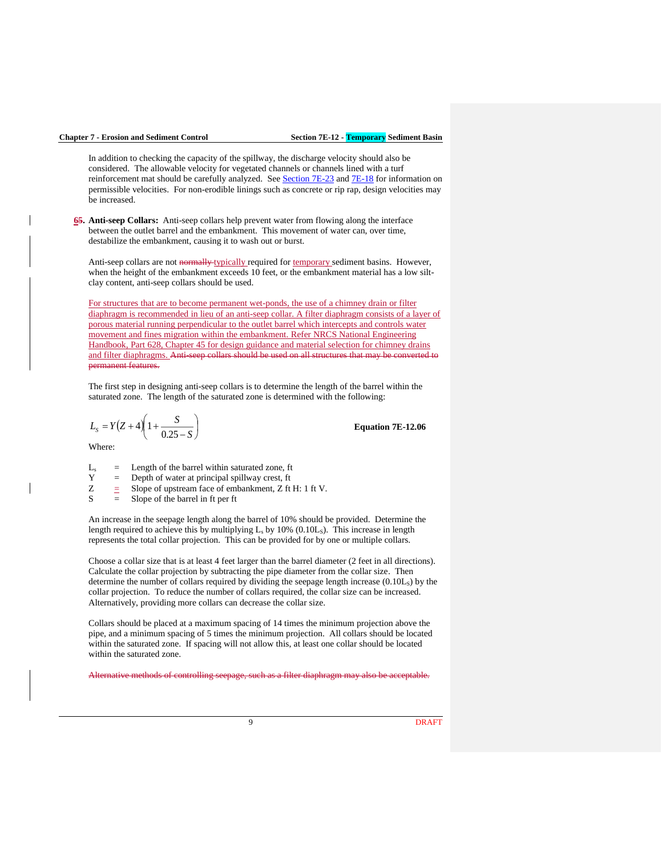In addition to checking the capacity of the spillway, the discharge velocity should also be considered. The allowable velocity for vegetated channels or channels lined with a turf reinforcement mat should be carefully analyzed. See [Section 7E-23](https://intrans.iastate.edu/app/uploads/sites/15/2020/03/7E-23.pdf) and [7E-18](https://intrans.iastate.edu/app/uploads/sites/15/2020/03/7E-18.pdf) for information on permissible velocities. For non-erodible linings such as concrete or rip rap, design velocities may be increased.

**65. Anti-seep Collars:** Anti-seep collars help prevent water from flowing along the interface between the outlet barrel and the embankment. This movement of water can, over time, destabilize the embankment, causing it to wash out or burst.

Anti-seep collars are not normally typically required for temporary sediment basins. However, when the height of the embankment exceeds 10 feet, or the embankment material has a low siltclay content, anti-seep collars should be used.

For structures that are to become permanent wet-ponds, the use of a chimney drain or filter diaphragm is recommended in lieu of an anti-seep collar. A filter diaphragm consists of a layer of porous material running perpendicular to the outlet barrel which intercepts and controls water movement and fines migration within the embankment. Refer NRCS National Engineering Handbook, Part 628, Chapter 45 for design guidance and material selection for chimney drains and filter diaphragms. Anti-seep collars should be used on all structures that may be converted to permanent features.

The first step in designing anti-seep collars is to determine the length of the barrel within the saturated zone. The length of the saturated zone is determined with the following:

$$
L_{S} = Y(Z+4)\left(1 + \frac{S}{0.25 - S}\right)
$$

**Equation 7E-12.06**

Where:

 $L<sub>s</sub>$  = Length of the barrel within saturated zone, ft Y = Depth of water at principal spillway crest, ft

 $Z =$  Slope of upstream face of embankment, Z ft H: 1 ft V.<br>S = Slope of the barrel in ft per ft

Slope of the barrel in ft per ft

An increase in the seepage length along the barrel of 10% should be provided. Determine the length required to achieve this by multiplying  $L_s$  by 10% (0.10 $L_s$ ). This increase in length represents the total collar projection. This can be provided for by one or multiple collars.

Choose a collar size that is at least 4 feet larger than the barrel diameter (2 feet in all directions). Calculate the collar projection by subtracting the pipe diameter from the collar size. Then determine the number of collars required by dividing the seepage length increase (0.10LS) by the collar projection. To reduce the number of collars required, the collar size can be increased. Alternatively, providing more collars can decrease the collar size.

Collars should be placed at a maximum spacing of 14 times the minimum projection above the pipe, and a minimum spacing of 5 times the minimum projection. All collars should be located within the saturated zone. If spacing will not allow this, at least one collar should be located within the saturated zone.

ative methods of controlling seepage, such as a filter diaphragm may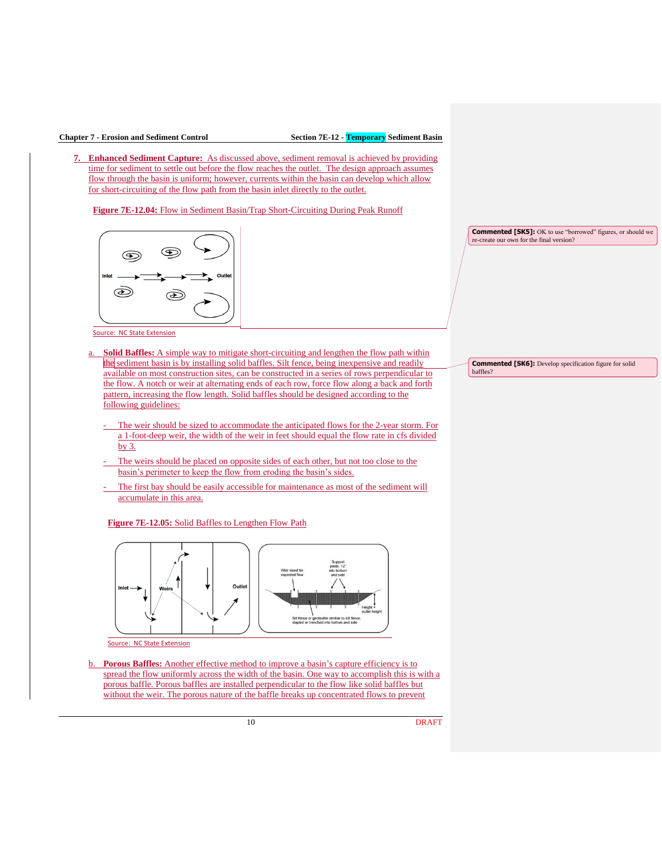**7. Enhanced Sediment Capture:** As discussed above, sediment removal is achieved by providing time for sediment to settle out before the flow reaches the outlet. The design approach assumes flow through the basin is uniform; however, currents within the basin can develop which allow for short-circuiting of the flow path from the basin inlet directly to the outlet.

**Figure 7E-12.04:** Flow in Sediment Basin/Trap Short-Circuiting During Peak Runoff

![](_page_9_Figure_4.jpeg)

Source: NC State Extension

- a. **Solid Baffles:** A simple way to mitigate short-circuiting and lengthen the flow path within the sediment basin is by installing solid baffles. Silt fence, being inexpensive and readily available on most construction sites, can be constructed in a series of rows perpendicular to the flow. A notch or weir at alternating ends of each row, force flow along a back and forth pattern, increasing the flow length. Solid baffles should be designed according to the following guidelines:
	- The weir should be sized to accommodate the anticipated flows for the 2-year storm. For a 1-foot-deep weir, the width of the weir in feet should equal the flow rate in cfs divided by 3.
	- The weirs should be placed on opposite sides of each other, but not too close to the basin's perimeter to keep the flow from eroding the basin's sides.
	- The first bay should be easily accessible for maintenance as most of the sediment will accumulate in this area.

**Figure 7E-12.05:** Solid Baffles to Lengthen Flow Path

![](_page_9_Figure_11.jpeg)

Source: NC State Extension

b. **Porous Baffles:** Another effective method to improve a basin's capture efficiency is to spread the flow uniformly across the width of the basin. One way to accomplish this is with a porous baffle. Porous baffles are installed perpendicular to the flow like solid baffles but without the weir. The porous nature of the baffle breaks up concentrated flows to prevent

10 DRAFT

**Commented [SK5]:** OK to use "borrowed" figures, or should we re-create our own for the final version?

**Commented [SK6]:** Develop specification figure for solid baffles?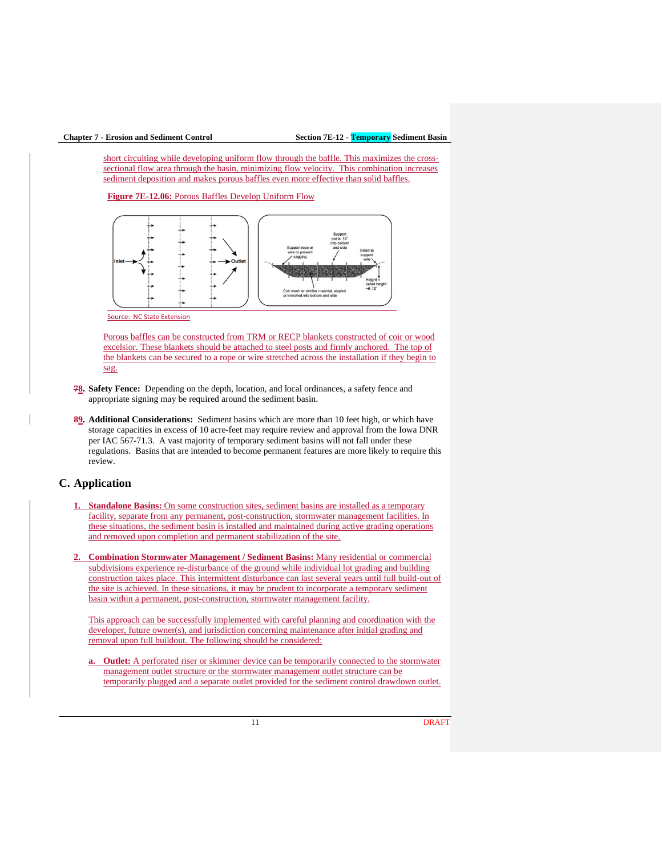short circuiting while developing uniform flow through the baffle. This maximizes the crosssectional flow area through the basin, minimizing flow velocity. This combination increases sediment deposition and makes porous baffles even more effective than solid baffles.

**Figure 7E-12.06:** Porous Baffles Develop Uniform Flow

![](_page_10_Figure_4.jpeg)

Source: NC State Extension

Porous baffles can be constructed from TRM or RECP blankets constructed of coir or wood excelsior. These blankets should be attached to steel posts and firmly anchored. The top of the blankets can be secured to a rope or wire stretched across the installation if they begin to sag.

- **78. Safety Fence:** Depending on the depth, location, and local ordinances, a safety fence and appropriate signing may be required around the sediment basin.
- **89. Additional Considerations:** Sediment basins which are more than 10 feet high, or which have storage capacities in excess of 10 acre-feet may require review and approval from the Iowa DNR per IAC 567-71.3. A vast majority of temporary sediment basins will not fall under these regulations. Basins that are intended to become permanent features are more likely to require this review.

## **C. Application**

- **1. Standalone Basins:** On some construction sites, sediment basins are installed as a temporary facility, separate from any permanent, post-construction, stormwater management facilities. In these situations, the sediment basin is installed and maintained during active grading operations and removed upon completion and permanent stabilization of the site.
- **2. Combination Stormwater Management / Sediment Basins:** Many residential or commercial subdivisions experience re-disturbance of the ground while individual lot grading and building construction takes place. This intermittent disturbance can last several years until full build-out of the site is achieved. In these situations, it may be prudent to incorporate a temporary sediment basin within a permanent, post-construction, stormwater management facility.

This approach can be successfully implemented with careful planning and coordination with the developer, future owner(s), and jurisdiction concerning maintenance after initial grading and removal upon full buildout. The following should be considered:

**a. Outlet:** A perforated riser or skimmer device can be temporarily connected to the stormwater management outlet structure or the stormwater management outlet structure can be temporarily plugged and a separate outlet provided for the sediment control drawdown outlet.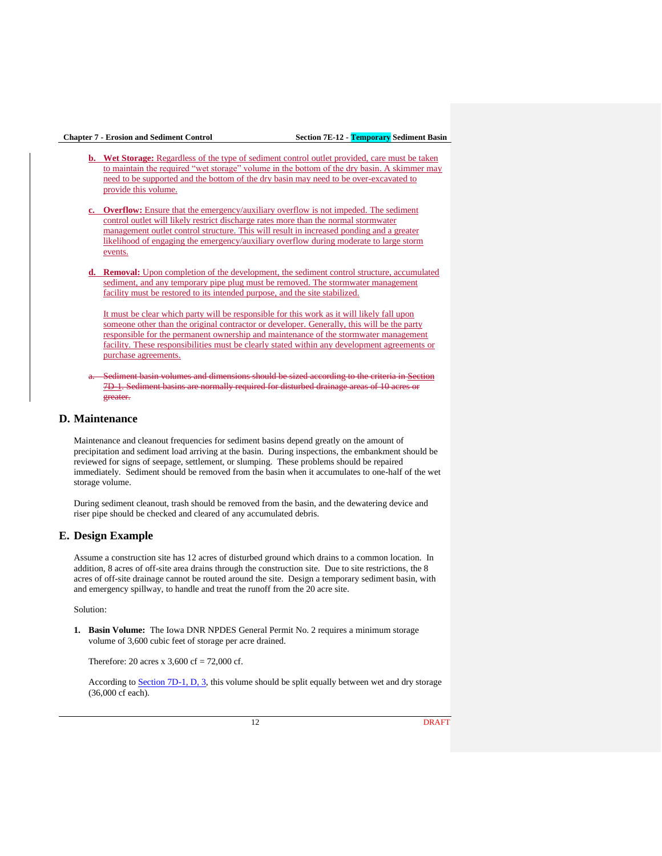- **b.** Wet Storage: Regardless of the type of sediment control outlet provided, care must be taken to maintain the required "wet storage" volume in the bottom of the dry basin. A skimmer may need to be supported and the bottom of the dry basin may need to be over-excavated to provide this volume.
- **c. Overflow:** Ensure that the emergency/auxiliary overflow is not impeded. The sediment control outlet will likely restrict discharge rates more than the normal stormwater management outlet control structure. This will result in increased ponding and a greater likelihood of engaging the emergency/auxiliary overflow during moderate to large storm events.
- **Removal:** Upon completion of the development, the sediment control structure, accumulated sediment, and any temporary pipe plug must be removed. The stormwater management facility must be restored to its intended purpose, and the site stabilized.

It must be clear which party will be responsible for this work as it will likely fall upon someone other than the original contractor or developer. Generally, this will be the party responsible for the permanent ownership and maintenance of the stormwater management facility. These responsibilities must be clearly stated within any development agreements or purchase agreements.

Sediment basin volumes and dimensions should be sized according to the criteria in Section 7D<sub>1</sub>. Sediment basins are normally required for disturbed drainage areas of 10 acres or greater.

## **D. Maintenance**

Maintenance and cleanout frequencies for sediment basins depend greatly on the amount of precipitation and sediment load arriving at the basin. During inspections, the embankment should be reviewed for signs of seepage, settlement, or slumping. These problems should be repaired immediately. Sediment should be removed from the basin when it accumulates to one-half of the wet storage volume.

During sediment cleanout, trash should be removed from the basin, and the dewatering device and riser pipe should be checked and cleared of any accumulated debris.

## **E. Design Example**

Assume a construction site has 12 acres of disturbed ground which drains to a common location. In addition, 8 acres of off-site area drains through the construction site. Due to site restrictions, the 8 acres of off-site drainage cannot be routed around the site. Design a temporary sediment basin, with and emergency spillway, to handle and treat the runoff from the 20 acre site.

Solution:

**1. Basin Volume:** The Iowa DNR NPDES General Permit No. 2 requires a minimum storage volume of 3,600 cubic feet of storage per acre drained.

Therefore: 20 acres x  $3,600$  cf = 72,000 cf.

According to [Section 7D-1, D, 3,](https://intrans.iastate.edu/app/uploads/sites/15/2020/03/7D-1.pdf#page=7) this volume should be split equally between wet and dry storage (36,000 cf each).

12 **DRAFT**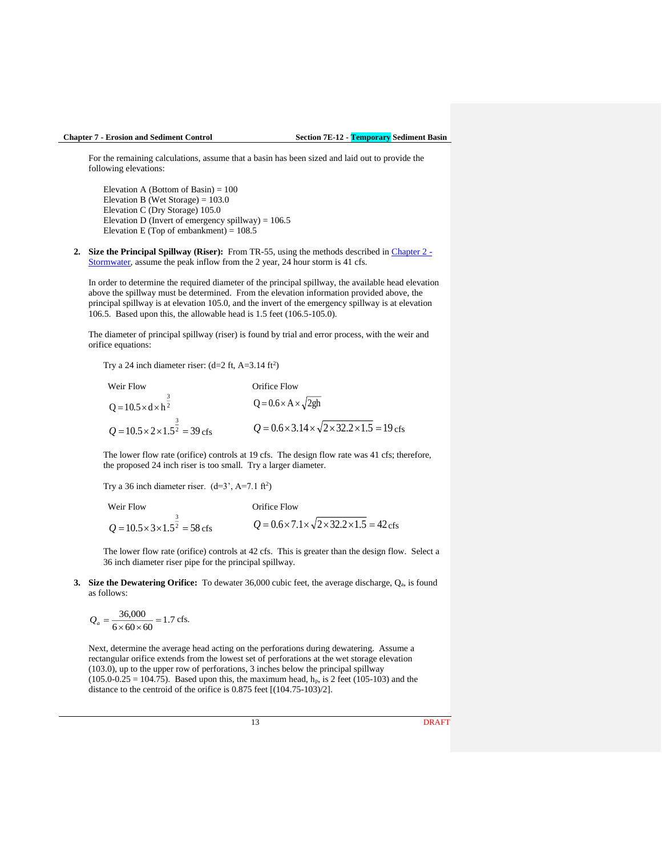For the remaining calculations, assume that a basin has been sized and laid out to provide the following elevations:

Elevation A (Bottom of Basin)  $= 100$ Elevation B (Wet Storage) =  $103.0$ Elevation C (Dry Storage) 105.0 Elevation D (Invert of emergency spillway) =  $106.5$ Elevation E (Top of embankment) =  $108.5$ 

**2. Size the Principal Spillway (Riser):** From TR-55, using the methods described in [Chapter 2](https://intrans.iastate.edu/app/uploads/sites/15/2020/03/Chapter_02.pdf) - [Stormwater,](https://intrans.iastate.edu/app/uploads/sites/15/2020/03/Chapter_02.pdf) assume the peak inflow from the 2 year, 24 hour storm is 41 cfs.

In order to determine the required diameter of the principal spillway, the available head elevation above the spillway must be determined. From the elevation information provided above, the principal spillway is at elevation 105.0, and the invert of the emergency spillway is at elevation 106.5. Based upon this, the allowable head is 1.5 feet (106.5-105.0).

The diameter of principal spillway (riser) is found by trial and error process, with the weir and orifice equations:

Try a 24 inch diameter riser:  $(d=2 ft, A=3.14 ft<sup>2</sup>)$ 

| Weir Flow                                         | Orifice Flow                                                                  |  |  |  |  |  |  |
|---------------------------------------------------|-------------------------------------------------------------------------------|--|--|--|--|--|--|
| $Q = 10.5 \times d \times h^2$                    | $Q = 0.6 \times A \times \sqrt{2gh}$                                          |  |  |  |  |  |  |
| $Q = 10.5 \times 2 \times 1.5^2 = 39 \text{ cfs}$ | $Q = 0.6 \times 3.14 \times \sqrt{2 \times 32.2 \times 1.5} = 19 \text{ cfs}$ |  |  |  |  |  |  |

The lower flow rate (orifice) controls at 19 cfs. The design flow rate was 41 cfs; therefore, the proposed 24 inch riser is too small. Try a larger diameter.

Try a 36 inch diameter riser.  $(d=3', A=7.1 ft<sup>2</sup>)$ 

Weir Flow Orifice Flow  $10.5 \times 3 \times 1.5^2 = 58$ 3  $Q = 10.5 \times 3 \times 1.5^2 = 58 \text{ cfs}$  $Q = 0.6 \times 7.1 \times \sqrt{2 \times 32.2 \times 1.5} = 42 \text{ cfs}$ 

The lower flow rate (orifice) controls at 42 cfs. This is greater than the design flow. Select a 36 inch diameter riser pipe for the principal spillway.

**3.** Size the Dewatering Orifice: To dewater 36,000 cubic feet, the average discharge, Q<sub>a</sub>, is found as follows:

$$
Q_a = \frac{36,000}{6 \times 60 \times 60} = 1.7 \text{ cfs.}
$$

Next, determine the average head acting on the perforations during dewatering. Assume a rectangular orifice extends from the lowest set of perforations at the wet storage elevation (103.0), up to the upper row of perforations, 3 inches below the principal spillway  $(105.0-0.25 = 104.75)$ . Based upon this, the maximum head, h<sub>p</sub>, is 2 feet (105-103) and the distance to the centroid of the orifice is 0.875 feet [(104.75-103)/2].